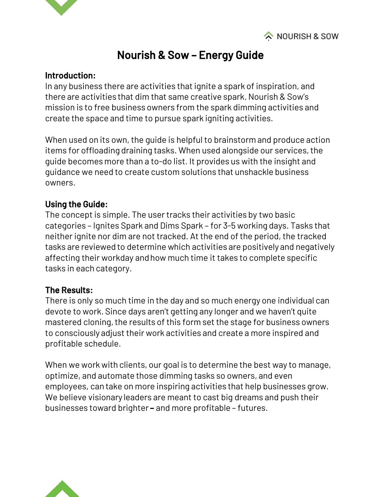

# Nourish & Sow – Energy Guide

#### Introduction:

In any business there are activities that ignite a spark of inspiration, and there are activities that dim that same creative spark. Nourish & Sow's mission is to free business owners from the spark dimming activities and create the space and time to pursue spark igniting activities.

When used on its own, the guide is helpful to brainstorm and produce action items for offloading draining tasks. When used alongside our services, the guide becomes more than a to-do list. It provides us with the insight and guidance we need to create custom solutions that unshackle business owners.

### Using the Guide:

The concept is simple. The user tracks their activities by two basic categories – Ignites Spark and Dims Spark – for 3-5 working days. Tasks that neither ignite nor dim are not tracked. At the end of the period, the tracked tasks are reviewed to determine which activities are positively and negatively affecting their workday and how much time it takes to complete specific tasks in each category.

#### The Results:

There is only so much time in the day and so much energy one individual can devote to work. Since days aren't getting any longer and we haven't quite mastered cloning, the results of this form set the stage for business owners to consciously adjust their work activities and create a more inspired and profitable schedule.

When we work with clients, our goal is to determine the best way to manage, optimize, and automate those dimming tasks so owners, and even employees, can take on more inspiring activities that help businesses grow. We believe visionary leaders are meant to cast big dreams and push their businesses toward brighter **–** and more profitable – futures.